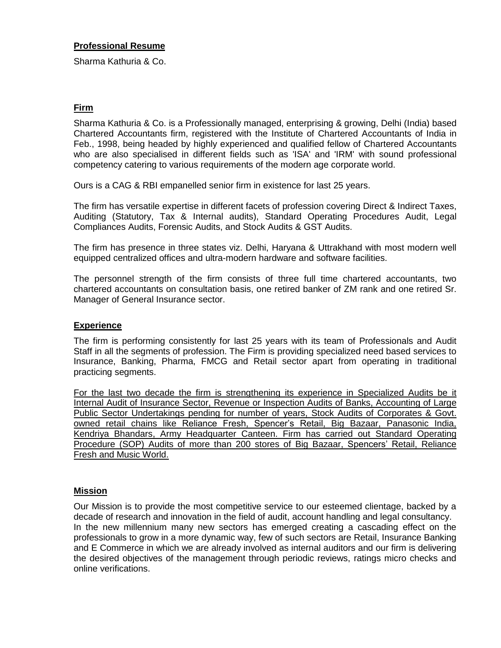#### **Professional Resume**

Sharma Kathuria & Co.

## **Firm**

Sharma Kathuria & Co. is a Professionally managed, enterprising & growing, Delhi (India) based Chartered Accountants firm, registered with the Institute of Chartered Accountants of India in Feb., 1998, being headed by highly experienced and qualified fellow of Chartered Accountants who are also specialised in different fields such as 'ISA' and 'IRM' with sound professional competency catering to various requirements of the modern age corporate world.

Ours is a CAG & RBI empanelled senior firm in existence for last 25 years.

The firm has versatile expertise in different facets of profession covering Direct & Indirect Taxes, Auditing (Statutory, Tax & Internal audits), Standard Operating Procedures Audit, Legal Compliances Audits, Forensic Audits, and Stock Audits & GST Audits.

The firm has presence in three states viz. Delhi, Haryana & Uttrakhand with most modern well equipped centralized offices and ultra-modern hardware and software facilities.

The personnel strength of the firm consists of three full time chartered accountants, two chartered accountants on consultation basis, one retired banker of ZM rank and one retired Sr. Manager of General Insurance sector.

#### **Experience**

The firm is performing consistently for last 25 years with its team of Professionals and Audit Staff in all the segments of profession. The Firm is providing specialized need based services to Insurance, Banking, Pharma, FMCG and Retail sector apart from operating in traditional practicing segments.

For the last two decade the firm is strengthening its experience in Specialized Audits be it Internal Audit of Insurance Sector, Revenue or Inspection Audits of Banks, Accounting of Large Public Sector Undertakings pending for number of years, Stock Audits of Corporates & Govt. owned retail chains like Reliance Fresh, Spencer's Retail, Big Bazaar, Panasonic India, Kendriya Bhandars, Army Headquarter Canteen. Firm has carried out Standard Operating Procedure (SOP) Audits of more than 200 stores of Big Bazaar, Spencers' Retail, Reliance Fresh and Music World.

#### **Mission**

Our Mission is to provide the most competitive service to our esteemed clientage, backed by a decade of research and innovation in the field of audit, account handling and legal consultancy. In the new millennium many new sectors has emerged creating a cascading effect on the professionals to grow in a more dynamic way, few of such sectors are Retail, Insurance Banking and E Commerce in which we are already involved as internal auditors and our firm is delivering the desired objectives of the management through periodic reviews, ratings micro checks and online verifications.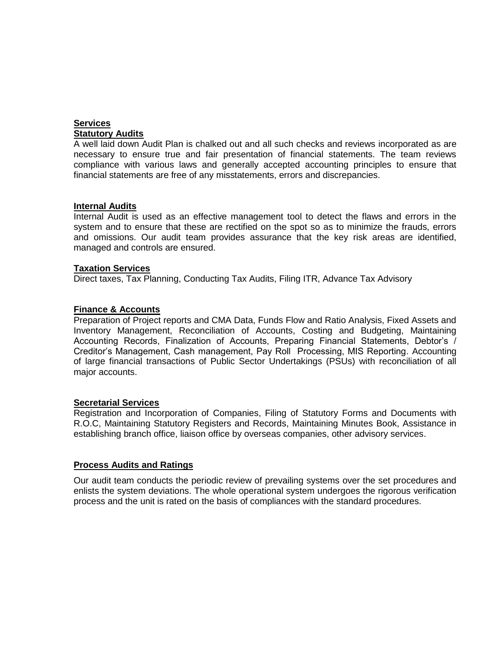## **Services Statutory Audits**

A well laid down Audit Plan is chalked out and all such checks and reviews incorporated as are necessary to ensure true and fair presentation of financial statements. The team reviews compliance with various laws and generally accepted accounting principles to ensure that financial statements are free of any misstatements, errors and discrepancies.

#### **Internal Audits**

Internal Audit is used as an effective management tool to detect the flaws and errors in the system and to ensure that these are rectified on the spot so as to minimize the frauds, errors and omissions. Our audit team provides assurance that the key risk areas are identified, managed and controls are ensured.

#### **Taxation Services**

Direct taxes, Tax Planning, Conducting Tax Audits, Filing ITR, Advance Tax Advisory

#### **Finance & Accounts**

Preparation of Project reports and CMA Data, Funds Flow and Ratio Analysis, Fixed Assets and Inventory Management, Reconciliation of Accounts, Costing and Budgeting, Maintaining Accounting Records, Finalization of Accounts, Preparing Financial Statements, Debtor's / Creditor's Management, Cash management, Pay Roll Processing, MIS Reporting. Accounting of large financial transactions of Public Sector Undertakings (PSUs) with reconciliation of all major accounts.

#### **Secretarial Services**

Registration and Incorporation of Companies, Filing of Statutory Forms and Documents with R.O.C, Maintaining Statutory Registers and Records, Maintaining Minutes Book, Assistance in establishing branch office, liaison office by overseas companies, other advisory services.

#### **Process Audits and Ratings**

Our audit team conducts the periodic review of prevailing systems over the set procedures and enlists the system deviations. The whole operational system undergoes the rigorous verification process and the unit is rated on the basis of compliances with the standard procedures.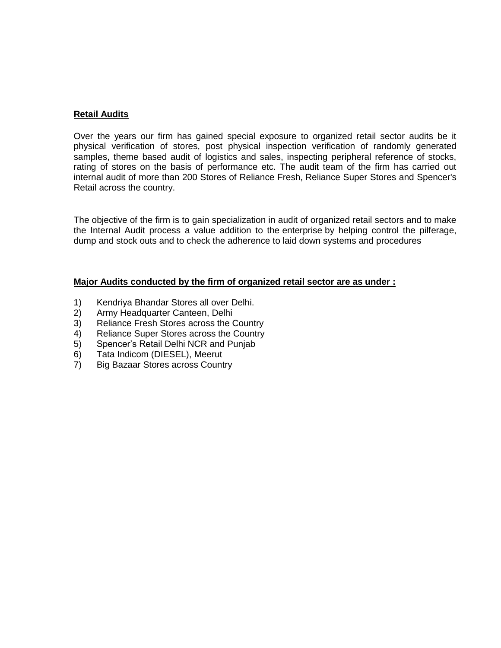## **Retail Audits**

Over the years our firm has gained special exposure to organized retail sector audits be it physical verification of stores, post physical inspection verification of randomly generated samples, theme based audit of logistics and sales, inspecting peripheral reference of stocks, rating of stores on the basis of performance etc. The audit team of the firm has carried out internal audit of more than 200 Stores of Reliance Fresh, Reliance Super Stores and Spencer's Retail across the country.

The objective of the firm is to gain specialization in audit of organized retail sectors and to make the Internal Audit process a value addition to the enterprise by helping control the pilferage, dump and stock outs and to check the adherence to laid down systems and procedures

#### **Major Audits conducted by the firm of organized retail sector are as under :**

- 1) Kendriya Bhandar Stores all over Delhi.
- 2) Army Headquarter Canteen, Delhi
- 3) Reliance Fresh Stores across the Country
- 4) Reliance Super Stores across the Country
- 5) Spencer's Retail Delhi NCR and Punjab
- 6) Tata Indicom (DIESEL), Meerut
- 7) Big Bazaar Stores across Country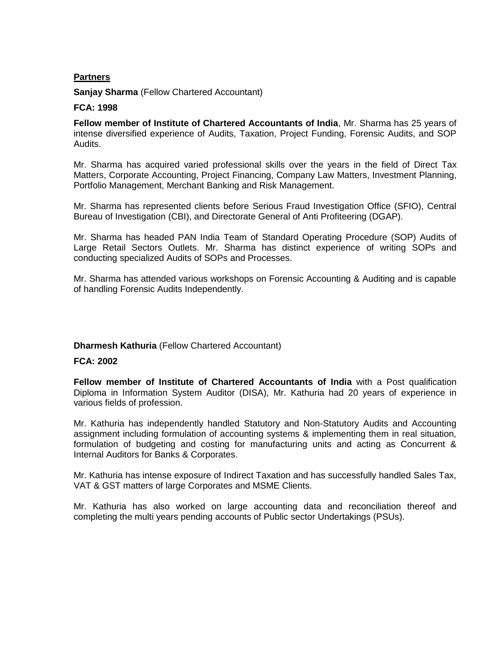## **Partners**

**Sanjay Sharma** (Fellow Chartered Accountant)

#### **FCA: 1998**

**Fellow member of Institute of Chartered Accountants of India**, Mr. Sharma has 25 years of intense diversified experience of Audits, Taxation, Project Funding, Forensic Audits, and SOP Audits.

Mr. Sharma has acquired varied professional skills over the years in the field of Direct Tax Matters, Corporate Accounting, Project Financing, Company Law Matters, Investment Planning, Portfolio Management, Merchant Banking and Risk Management.

Mr. Sharma has represented clients before Serious Fraud Investigation Office (SFIO), Central Bureau of Investigation (CBI), and Directorate General of Anti Profiteering (DGAP).

Mr. Sharma has headed PAN India Team of Standard Operating Procedure (SOP) Audits of Large Retail Sectors Outlets. Mr. Sharma has distinct experience of writing SOPs and conducting specialized Audits of SOPs and Processes.

Mr. Sharma has attended various workshops on Forensic Accounting & Auditing and is capable of handling Forensic Audits Independently.

## **Dharmesh Kathuria** (Fellow Chartered Accountant)

#### **FCA: 2002**

**Fellow member of Institute of Chartered Accountants of India** with a Post qualification Diploma in Information System Auditor (DISA), Mr. Kathuria had 20 years of experience in various fields of profession.

Mr. Kathuria has independently handled Statutory and Non-Statutory Audits and Accounting assignment including formulation of accounting systems & implementing them in real situation, formulation of budgeting and costing for manufacturing units and acting as Concurrent & Internal Auditors for Banks & Corporates.

Mr. Kathuria has intense exposure of Indirect Taxation and has successfully handled Sales Tax, VAT & GST matters of large Corporates and MSME Clients.

Mr. Kathuria has also worked on large accounting data and reconciliation thereof and completing the multi years pending accounts of Public sector Undertakings (PSUs).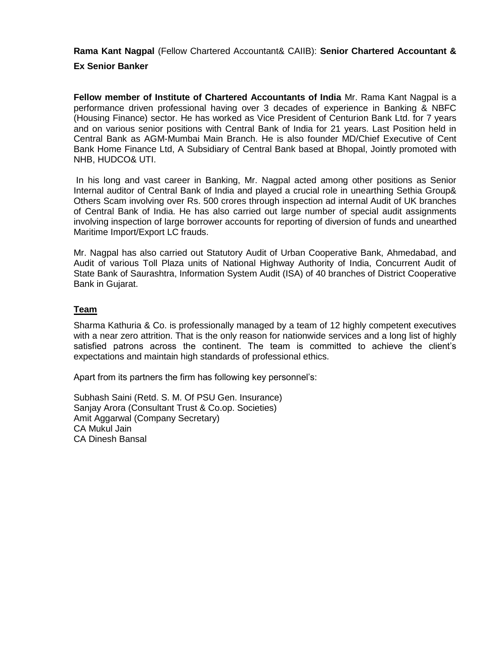**Rama Kant Nagpal** (Fellow Chartered Accountant& CAIIB): **Senior Chartered Accountant &** 

## **Ex Senior Banker**

**Fellow member of Institute of Chartered Accountants of India** Mr. Rama Kant Nagpal is a performance driven professional having over 3 decades of experience in Banking & NBFC (Housing Finance) sector. He has worked as Vice President of Centurion Bank Ltd. for 7 years and on various senior positions with Central Bank of India for 21 years. Last Position held in Central Bank as AGM-Mumbai Main Branch. He is also founder MD/Chief Executive of Cent Bank Home Finance Ltd, A Subsidiary of Central Bank based at Bhopal, Jointly promoted with NHB, HUDCO& UTI.

In his long and vast career in Banking, Mr. Nagpal acted among other positions as Senior Internal auditor of Central Bank of India and played a crucial role in unearthing Sethia Group& Others Scam involving over Rs. 500 crores through inspection ad internal Audit of UK branches of Central Bank of India. He has also carried out large number of special audit assignments involving inspection of large borrower accounts for reporting of diversion of funds and unearthed Maritime Import/Export LC frauds.

Mr. Nagpal has also carried out Statutory Audit of Urban Cooperative Bank, Ahmedabad, and Audit of various Toll Plaza units of National Highway Authority of India, Concurrent Audit of State Bank of Saurashtra, Information System Audit (ISA) of 40 branches of District Cooperative Bank in Gujarat.

## **Team**

Sharma Kathuria & Co. is professionally managed by a team of 12 highly competent executives with a near zero attrition. That is the only reason for nationwide services and a long list of highly satisfied patrons across the continent. The team is committed to achieve the client's expectations and maintain high standards of professional ethics.

Apart from its partners the firm has following key personnel's:

Subhash Saini (Retd. S. M. Of PSU Gen. Insurance) Sanjay Arora (Consultant Trust & Co.op. Societies) Amit Aggarwal (Company Secretary) CA Mukul Jain CA Dinesh Bansal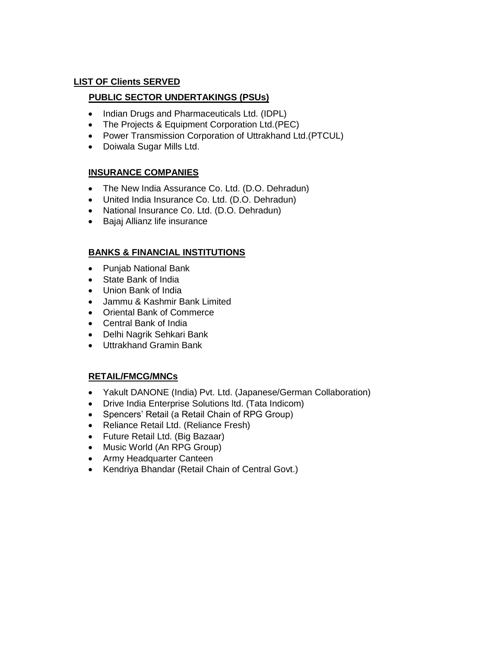## **LIST OF Clients SERVED**

## **PUBLIC SECTOR UNDERTAKINGS (PSUs)**

- Indian Drugs and Pharmaceuticals Ltd. (IDPL)
- The Projects & Equipment Corporation Ltd.(PEC)
- Power Transmission Corporation of Uttrakhand Ltd.(PTCUL)
- Doiwala Sugar Mills Ltd.

## **INSURANCE COMPANIES**

- The New India Assurance Co. Ltd. (D.O. Dehradun)
- United India Insurance Co. Ltd. (D.O. Dehradun)
- National Insurance Co. Ltd. (D.O. Dehradun)
- Bajaj Allianz life insurance

# **BANKS & FINANCIAL INSTITUTIONS**

- Punjab National Bank
- State Bank of India
- Union Bank of India
- Jammu & Kashmir Bank Limited
- Oriental Bank of Commerce
- Central Bank of India
- Delhi Nagrik Sehkari Bank
- Uttrakhand Gramin Bank

# **RETAIL/FMCG/MNCs**

- Yakult DANONE (India) Pvt. Ltd. (Japanese/German Collaboration)
- Drive India Enterprise Solutions ltd. (Tata Indicom)
- Spencers' Retail (a Retail Chain of RPG Group)
- Reliance Retail Ltd. (Reliance Fresh)
- Future Retail Ltd. (Big Bazaar)
- Music World (An RPG Group)
- Army Headquarter Canteen
- Kendriya Bhandar (Retail Chain of Central Govt.)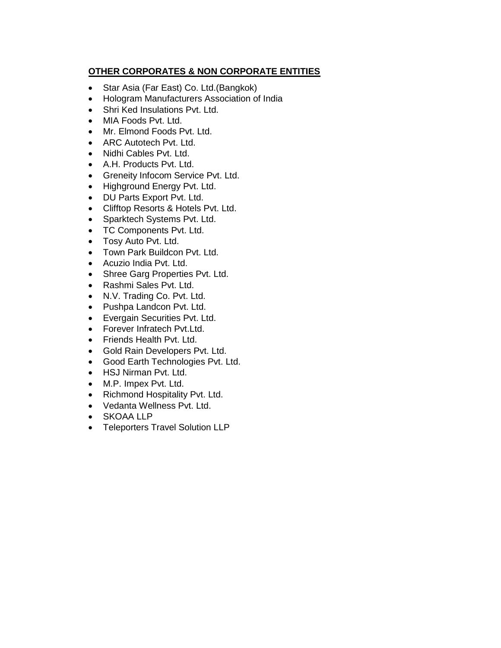# **OTHER CORPORATES & NON CORPORATE ENTITIES**

- Star Asia (Far East) Co. Ltd.(Bangkok)
- Hologram Manufacturers Association of India
- Shri Ked Insulations Pvt. Ltd.
- MIA Foods Pvt. Ltd.
- Mr. Elmond Foods Pvt. Ltd.
- ARC Autotech Pvt. Ltd.
- Nidhi Cables Pvt. Ltd.
- A.H. Products Pvt. Ltd.
- Greneity Infocom Service Pvt. Ltd.
- Highground Energy Pvt. Ltd.
- DU Parts Export Pvt. Ltd.
- Clifftop Resorts & Hotels Pvt. Ltd.
- Sparktech Systems Pvt. Ltd.
- TC Components Pvt. Ltd.
- Tosy Auto Pvt. Ltd.
- Town Park Buildcon Pvt. Ltd.
- Acuzio India Pvt. Ltd.
- Shree Garg Properties Pvt. Ltd.
- Rashmi Sales Pvt. Ltd.
- N.V. Trading Co. Pvt. Ltd.
- Pushpa Landcon Pvt. Ltd.
- Evergain Securities Pvt. Ltd.
- Forever Infratech Pvt.Ltd.
- Friends Health Pvt. Ltd.
- Gold Rain Developers Pvt. Ltd.
- Good Earth Technologies Pvt. Ltd.
- HSJ Nirman Pvt. Ltd.
- M.P. Impex Pvt. Ltd.
- Richmond Hospitality Pvt. Ltd.
- Vedanta Wellness Pvt. Ltd.
- SKOAA LLP
- Teleporters Travel Solution LLP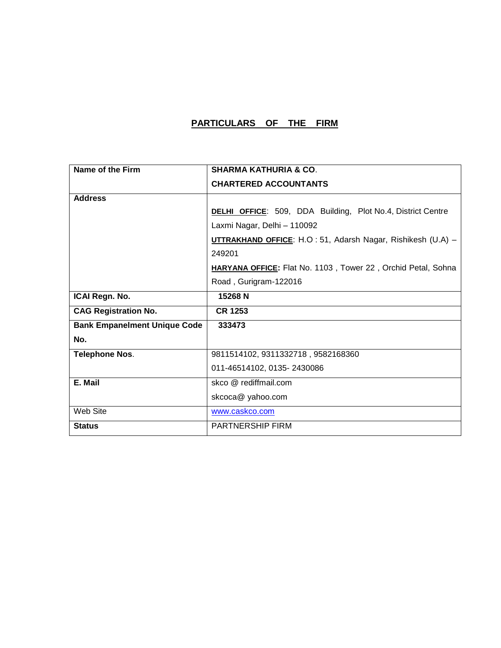# **PARTICULARS OF THE FIRM**

| Name of the Firm                    | <b>SHARMA KATHURIA &amp; CO.</b>                                   |
|-------------------------------------|--------------------------------------------------------------------|
|                                     | <b>CHARTERED ACCOUNTANTS</b>                                       |
| <b>Address</b>                      |                                                                    |
|                                     | <b>DELHI OFFICE:</b> 509, DDA Building, Plot No.4, District Centre |
|                                     | Laxmi Nagar, Delhi - 110092                                        |
|                                     | UTTRAKHAND OFFICE: H.O : 51, Adarsh Nagar, Rishikesh (U.A) -       |
|                                     | 249201                                                             |
|                                     | HARYANA OFFICE: Flat No. 1103, Tower 22, Orchid Petal, Sohna       |
|                                     | Road, Gurigram-122016                                              |
| ICAI Regn. No.                      | 15268 N                                                            |
| <b>CAG Registration No.</b>         | <b>CR 1253</b>                                                     |
| <b>Bank Empanelment Unique Code</b> | 333473                                                             |
| No.                                 |                                                                    |
| <b>Telephone Nos.</b>               | 9811514102, 9311332718, 9582168360                                 |
|                                     | 011-46514102, 0135-2430086                                         |
| E. Mail                             | skco @ rediffmail.com                                              |
|                                     | skcoca@ yahoo.com                                                  |
| Web Site                            | www.caskco.com                                                     |
| <b>Status</b>                       | <b>PARTNERSHIP FIRM</b>                                            |